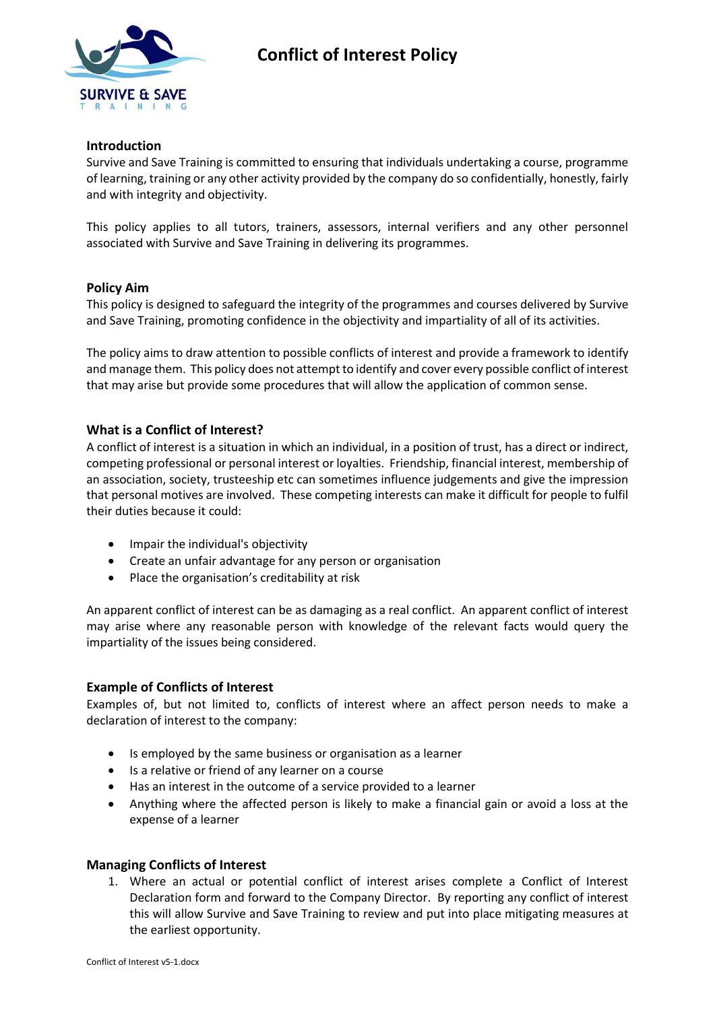

# **Conflict of Interest Policy**

## **Introduction**

Survive and Save Training is committed to ensuring that individuals undertaking a course, programme of learning, training or any other activity provided by the company do so confidentially, honestly, fairly and with integrity and objectivity.

This policy applies to all tutors, trainers, assessors, internal verifiers and any other personnel associated with Survive and Save Training in delivering its programmes.

#### **Policy Aim**

This policy is designed to safeguard the integrity of the programmes and courses delivered by Survive and Save Training, promoting confidence in the objectivity and impartiality of all of its activities.

The policy aims to draw attention to possible conflicts of interest and provide a framework to identify and manage them. This policy does not attempt to identify and cover every possible conflict of interest that may arise but provide some procedures that will allow the application of common sense.

# **What is a Conflict of Interest?**

A conflict of interest is a situation in which an individual, in a position of trust, has a direct or indirect, competing professional or personal interest or loyalties. Friendship, financial interest, membership of an association, society, trusteeship etc can sometimes influence judgements and give the impression that personal motives are involved. These competing interests can make it difficult for people to fulfil their duties because it could:

- Impair the individual's objectivity
- Create an unfair advantage for any person or organisation
- Place the organisation's creditability at risk

An apparent conflict of interest can be as damaging as a real conflict. An apparent conflict of interest may arise where any reasonable person with knowledge of the relevant facts would query the impartiality of the issues being considered.

#### **Example of Conflicts of Interest**

Examples of, but not limited to, conflicts of interest where an affect person needs to make a declaration of interest to the company:

- Is employed by the same business or organisation as a learner
- Is a relative or friend of any learner on a course
- Has an interest in the outcome of a service provided to a learner
- Anything where the affected person is likely to make a financial gain or avoid a loss at the expense of a learner

#### **Managing Conflicts of Interest**

1. Where an actual or potential conflict of interest arises complete a Conflict of Interest Declaration form and forward to the Company Director. By reporting any conflict of interest this will allow Survive and Save Training to review and put into place mitigating measures at the earliest opportunity.